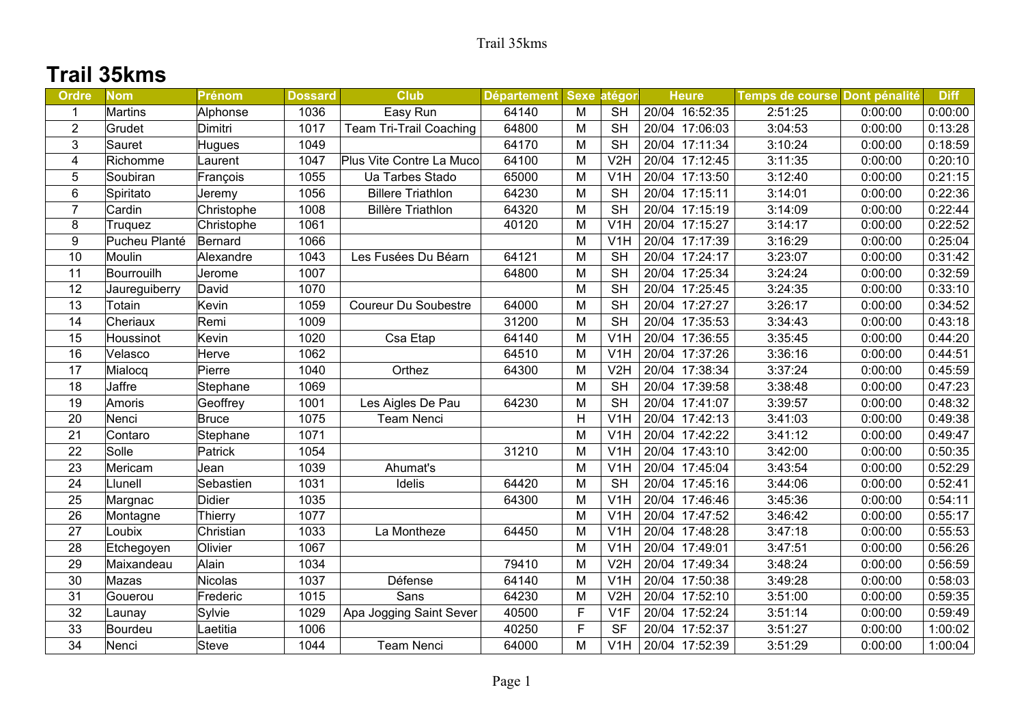## **Trail 35kms**

| <b>Ordre</b>     | <b>Nom</b>    | <b>Prénom</b> | <b>Dossard</b> | <b>Club</b>                 | Département Sexe |   | atégori          | <b>Heure</b>   | Temps de course Dont pénalité |         | <b>Diff</b> |
|------------------|---------------|---------------|----------------|-----------------------------|------------------|---|------------------|----------------|-------------------------------|---------|-------------|
| $\mathbf 1$      | Martins       | Alphonse      | 1036           | Easy Run                    | 64140            | м | <b>SH</b>        | 20/04 16:52:35 | 2:51:25                       | 0:00:00 | 0:00:00     |
| $\overline{2}$   | Grudet        | Dimitri       | 1017           | Team Tri-Trail Coaching     | 64800            | M | <b>SH</b>        | 20/04 17:06:03 | 3:04:53                       | 0:00:00 | 0:13:28     |
| 3                | Sauret        | Hugues        | 1049           |                             | 64170            | M | <b>SH</b>        | 20/04 17:11:34 | 3:10:24                       | 0:00:00 | 0:18:59     |
| 4                | Richomme      | Laurent       | 1047           | Plus Vite Contre La Muco    | 64100            | M | V <sub>2</sub> H | 20/04 17:12:45 | 3:11:35                       | 0:00:00 | 0:20:10     |
| 5                | Soubiran      | François      | 1055           | Ua Tarbes Stado             | 65000            | M | V1H              | 20/04 17:13:50 | 3:12:40                       | 0:00:00 | 0:21:15     |
| 6                | Spiritato     | Jeremy        | 1056           | <b>Billere Triathlon</b>    | 64230            | M | <b>SH</b>        | 20/04 17:15:11 | 3:14:01                       | 0:00:00 | 0:22:36     |
| $\overline{7}$   | Cardin        | Christophe    | 1008           | <b>Billère Triathlon</b>    | 64320            | M | <b>SH</b>        | 20/04 17:15:19 | 3:14:09                       | 0:00:00 | 0:22:44     |
| 8                | Truquez       | Christophe    | 1061           |                             | 40120            | M | V <sub>1</sub> H | 20/04 17:15:27 | 3:14:17                       | 0:00:00 | 0:22:52     |
| $\boldsymbol{9}$ | Pucheu Planté | Bernard       | 1066           |                             |                  | M | V <sub>1</sub> H | 20/04 17:17:39 | 3:16:29                       | 0:00:00 | 0:25:04     |
| 10               | Moulin        | Alexandre     | 1043           | Les Fusées Du Béarn         | 64121            | M | <b>SH</b>        | 20/04 17:24:17 | 3:23:07                       | 0:00:00 | 0:31:42     |
| 11               | Bourrouilh    | Jerome        | 1007           |                             | 64800            | M | <b>SH</b>        | 20/04 17:25:34 | 3:24:24                       | 0:00:00 | 0:32:59     |
| 12               | Jaureguiberry | David         | 1070           |                             |                  | M | <b>SH</b>        | 20/04 17:25:45 | 3:24:35                       | 0:00:00 | 0:33:10     |
| 13               | Totain        | Kevin         | 1059           | <b>Coureur Du Soubestre</b> | 64000            | M | <b>SH</b>        | 20/04 17:27:27 | 3:26:17                       | 0:00:00 | 0:34:52     |
| 14               | Cheriaux      | Remi          | 1009           |                             | 31200            | M | <b>SH</b>        | 20/04 17:35:53 | 3:34:43                       | 0:00:00 | 0:43:18     |
| 15               | Houssinot     | Kevin         | 1020           | Csa Etap                    | 64140            | M | V <sub>1</sub> H | 20/04 17:36:55 | 3:35:45                       | 0:00:00 | 0:44:20     |
| 16               | Velasco       | Herve         | 1062           |                             | 64510            | M | V <sub>1</sub> H | 20/04 17:37:26 | 3:36:16                       | 0:00:00 | 0:44:51     |
| 17               | Mialocq       | Pierre        | 1040           | Orthez                      | 64300            | M | V <sub>2</sub> H | 20/04 17:38:34 | 3:37:24                       | 0:00:00 | 0:45:59     |
| 18               | Jaffre        | Stephane      | 1069           |                             |                  | M | <b>SH</b>        | 20/04 17:39:58 | 3:38:48                       | 0:00:00 | 0:47:23     |
| 19               | Amoris        | Geoffrey      | 1001           | Les Aigles De Pau           | 64230            | M | <b>SH</b>        | 20/04 17:41:07 | 3:39:57                       | 0:00:00 | 0:48:32     |
| 20               | Nenci         | Bruce         | 1075           | <b>Team Nenci</b>           |                  | Η | V <sub>1</sub> H | 20/04 17:42:13 | 3:41:03                       | 0:00:00 | 0:49:38     |
| 21               | Contaro       | Stephane      | 1071           |                             |                  | M | V1H              | 20/04 17:42:22 | 3:41:12                       | 0:00:00 | 0:49:47     |
| 22               | Solle         | Patrick       | 1054           |                             | 31210            | M | V1H              | 20/04 17:43:10 | 3:42:00                       | 0:00:00 | 0:50:35     |
| 23               | Mericam       | Jean          | 1039           | Ahumat's                    |                  | M | V <sub>1</sub> H | 20/04 17:45:04 | 3:43:54                       | 0:00:00 | 0:52:29     |
| 24               | Llunell       | Sebastien     | 1031           | Idelis                      | 64420            | M | <b>SH</b>        | 20/04 17:45:16 | 3:44:06                       | 0:00:00 | 0:52:41     |
| 25               | Margnac       | Didier        | 1035           |                             | 64300            | M | V <sub>1</sub> H | 20/04 17:46:46 | 3:45:36                       | 0:00:00 | 0:54:11     |
| 26               | Montagne      | Thierry       | 1077           |                             |                  | M | V <sub>1</sub> H | 20/04 17:47:52 | 3:46:42                       | 0:00:00 | 0:55:17     |
| 27               | Loubix        | Christian     | 1033           | La Montheze                 | 64450            | M | V1H              | 20/04 17:48:28 | 3:47:18                       | 0:00:00 | 0:55:53     |
| 28               | Etchegoyen    | Olivier       | 1067           |                             |                  | M | V <sub>1</sub> H | 20/04 17:49:01 | 3:47:51                       | 0:00:00 | 0:56:26     |
| 29               | Maixandeau    | Alain         | 1034           |                             | 79410            | M | V <sub>2</sub> H | 20/04 17:49:34 | 3:48:24                       | 0:00:00 | 0:56:59     |
| 30               | Mazas         | Nicolas       | 1037           | Défense                     | 64140            | M | V <sub>1</sub> H | 20/04 17:50:38 | 3:49:28                       | 0:00:00 | 0:58:03     |
| 31               | Gouerou       | Frederic      | 1015           | Sans                        | 64230            | M | V <sub>2</sub> H | 20/04 17:52:10 | 3:51:00                       | 0:00:00 | 0:59:35     |
| 32               | Launay        | Sylvie        | 1029           | Apa Jogging Saint Sever     | 40500            | F | V <sub>1F</sub>  | 20/04 17:52:24 | 3:51:14                       | 0:00:00 | 0:59:49     |
| 33               | Bourdeu       | Laetitia      | 1006           |                             | 40250            | F | <b>SF</b>        | 20/04 17:52:37 | 3:51:27                       | 0:00:00 | 1:00:02     |
| 34               | Nenci         | Steve         | 1044           | <b>Team Nenci</b>           | 64000            | M | V <sub>1</sub> H | 20/04 17:52:39 | 3:51:29                       | 0:00:00 | 1:00:04     |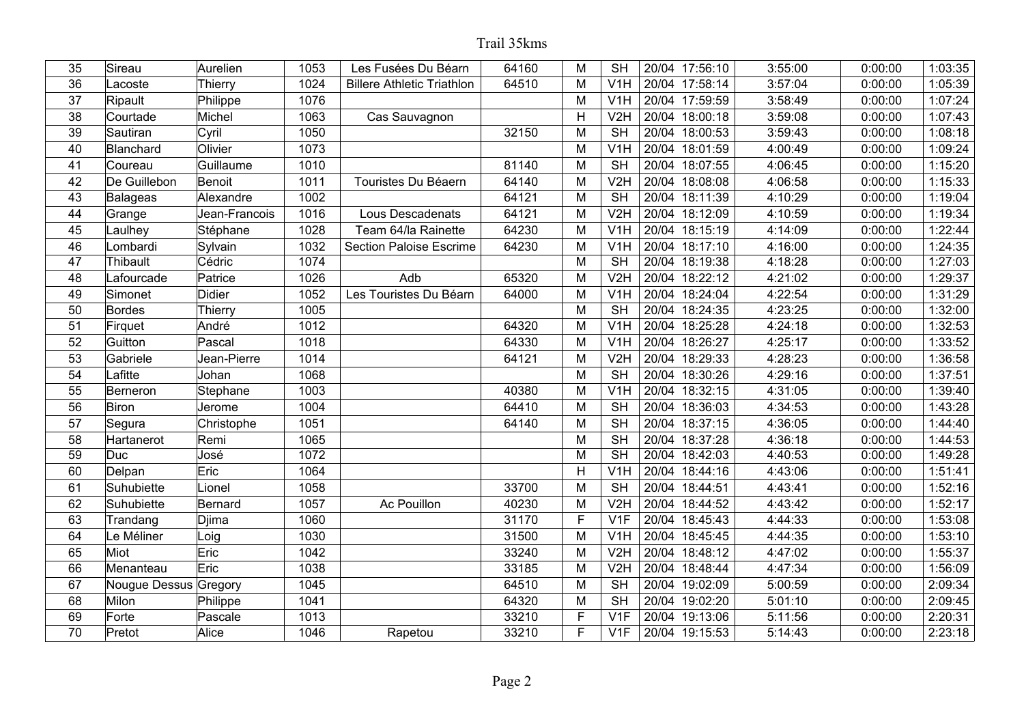| 35 | Sireau                | Aurelien       | 1053 | Les Fusées Du Béarn               | 64160 | Μ | <b>SH</b>        | 20/04 17:56:10 | 3:55:00 | 0:00:00 | 1:03:35 |
|----|-----------------------|----------------|------|-----------------------------------|-------|---|------------------|----------------|---------|---------|---------|
| 36 | Lacoste               | Thierry        | 1024 | <b>Billere Athletic Triathlon</b> | 64510 | M | V <sub>1</sub> H | 20/04 17:58:14 | 3:57:04 | 0:00:00 | 1:05:39 |
| 37 | Ripault               | Philippe       | 1076 |                                   |       | M | V <sub>1</sub> H | 20/04 17:59:59 | 3:58:49 | 0:00:00 | 1:07:24 |
| 38 | Courtade              | Michel         | 1063 | Cas Sauvagnon                     |       | H | V <sub>2</sub> H | 20/04 18:00:18 | 3:59:08 | 0:00:00 | 1:07:43 |
| 39 | Sautiran              | Cyril          | 1050 |                                   | 32150 | M | <b>SH</b>        | 20/04 18:00:53 | 3:59:43 | 0:00:00 | 1:08:18 |
| 40 | Blanchard             | Olivier        | 1073 |                                   |       | M | V <sub>1</sub> H | 20/04 18:01:59 | 4:00:49 | 0:00:00 | 1:09:24 |
| 41 | Coureau               | Guillaume      | 1010 |                                   | 81140 | M | <b>SH</b>        | 20/04 18:07:55 | 4:06:45 | 0:00:00 | 1:15:20 |
| 42 | De Guillebon          | Benoit         | 1011 | Touristes Du Béaern               | 64140 | M | V <sub>2</sub> H | 20/04 18:08:08 | 4:06:58 | 0:00:00 | 1:15:33 |
| 43 | <b>Balageas</b>       | Alexandre      | 1002 |                                   | 64121 | M | <b>SH</b>        | 20/04 18:11:39 | 4:10:29 | 0:00:00 | 1:19:04 |
| 44 | Grange                | Jean-Francois  | 1016 | Lous Descadenats                  | 64121 | M | V2H              | 20/04 18:12:09 | 4:10:59 | 0:00:00 | 1:19:34 |
| 45 | Laulhey               | Stéphane       | 1028 | Team 64/la Rainette               | 64230 | M | V <sub>1</sub> H | 20/04 18:15:19 | 4:14:09 | 0:00:00 | 1:22:44 |
| 46 | Lombardi              | Sylvain        | 1032 | <b>Section Paloise Escrime</b>    | 64230 | M | V <sub>1</sub> H | 20/04 18:17:10 | 4:16:00 | 0:00:00 | 1:24:35 |
| 47 | <b>Thibault</b>       | Cédric         | 1074 |                                   |       | M | <b>SH</b>        | 20/04 18:19:38 | 4:18:28 | 0:00:00 | 1:27:03 |
| 48 | Lafourcade            | Patrice        | 1026 | Adb                               | 65320 | M | V <sub>2</sub> H | 20/04 18:22:12 | 4:21:02 | 0:00:00 | 1:29:37 |
| 49 | Simonet               | <b>Didier</b>  | 1052 | Les Touristes Du Béarn            | 64000 | M | V <sub>1</sub> H | 20/04 18:24:04 | 4:22:54 | 0:00:00 | 1:31:29 |
| 50 | <b>Bordes</b>         | <b>Thierry</b> | 1005 |                                   |       | M | <b>SH</b>        | 20/04 18:24:35 | 4:23:25 | 0:00:00 | 1:32:00 |
| 51 | Firquet               | André          | 1012 |                                   | 64320 | M | V <sub>1</sub> H | 20/04 18:25:28 | 4:24:18 | 0:00:00 | 1:32:53 |
| 52 | Guitton               | Pascal         | 1018 |                                   | 64330 | M | V1H              | 20/04 18:26:27 | 4:25:17 | 0:00:00 | 1:33:52 |
| 53 | Gabriele              | Jean-Pierre    | 1014 |                                   | 64121 | M | V <sub>2</sub> H | 20/04 18:29:33 | 4:28:23 | 0:00:00 | 1:36:58 |
| 54 | Lafitte               | Johan          | 1068 |                                   |       | M | <b>SH</b>        | 20/04 18:30:26 | 4:29:16 | 0:00:00 | 1:37:51 |
| 55 | Berneron              | Stephane       | 1003 |                                   | 40380 | M | V1H              | 20/04 18:32:15 | 4:31:05 | 0:00:00 | 1:39:40 |
| 56 | Biron                 | Jerome         | 1004 |                                   | 64410 | M | <b>SH</b>        | 20/04 18:36:03 | 4:34:53 | 0:00:00 | 1:43:28 |
| 57 | Segura                | Christophe     | 1051 |                                   | 64140 | M | <b>SH</b>        | 20/04 18:37:15 | 4:36:05 | 0:00:00 | 1:44:40 |
| 58 | Hartanerot            | Remi           | 1065 |                                   |       | M | <b>SH</b>        | 20/04 18:37:28 | 4:36:18 | 0:00:00 | 1:44:53 |
| 59 | Duc                   | José           | 1072 |                                   |       | M | <b>SH</b>        | 20/04 18:42:03 | 4:40:53 | 0:00:00 | 1:49:28 |
| 60 | Delpan                | Eric           | 1064 |                                   |       | H | V <sub>1</sub> H | 20/04 18:44:16 | 4:43:06 | 0:00:00 | 1:51:41 |
| 61 | Suhubiette            | Lionel         | 1058 |                                   | 33700 | M | <b>SH</b>        | 20/04 18:44:51 | 4:43:41 | 0:00:00 | 1:52:16 |
| 62 | Suhubiette            | Bernard        | 1057 | Ac Pouillon                       | 40230 | M | V <sub>2</sub> H | 20/04 18:44:52 | 4:43:42 | 0:00:00 | 1:52:17 |
| 63 | Trandang              | Djima          | 1060 |                                   | 31170 | F | V1F              | 20/04 18:45:43 | 4:44:33 | 0:00:00 | 1:53:08 |
| 64 | Le Méliner            | Loig           | 1030 |                                   | 31500 | M | V <sub>1</sub> H | 20/04 18:45:45 | 4:44:35 | 0:00:00 | 1:53:10 |
| 65 | Miot                  | Eric           | 1042 |                                   | 33240 | M | V <sub>2</sub> H | 20/04 18:48:12 | 4:47:02 | 0:00:00 | 1:55:37 |
| 66 | Menanteau             | Eric           | 1038 |                                   | 33185 | M | V <sub>2</sub> H | 20/04 18:48:44 | 4:47:34 | 0:00:00 | 1:56:09 |
| 67 | Nougue Dessus Gregory |                | 1045 |                                   | 64510 | M | <b>SH</b>        | 20/04 19:02:09 | 5:00:59 | 0:00:00 | 2:09:34 |
| 68 | Milon                 | Philippe       | 1041 |                                   | 64320 | M | <b>SH</b>        | 20/04 19:02:20 | 5:01:10 | 0:00:00 | 2:09:45 |
| 69 | Forte                 | Pascale        | 1013 |                                   | 33210 | F | V <sub>1F</sub>  | 20/04 19:13:06 | 5:11:56 | 0:00:00 | 2:20:31 |
| 70 | Pretot                | Alice          | 1046 | Rapetou                           | 33210 | F | V <sub>1F</sub>  | 20/04 19:15:53 | 5:14:43 | 0:00:00 | 2:23:18 |